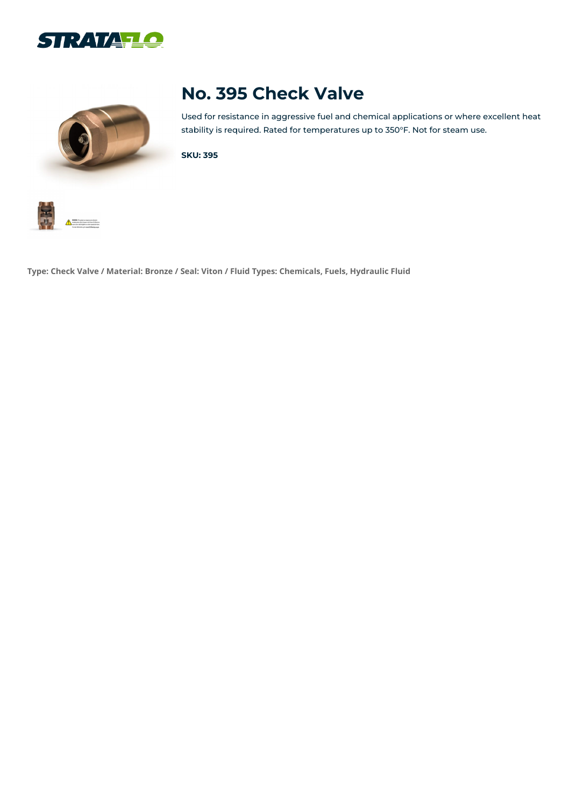



# **No. 395 Check Valve**

Used for resistance in aggressive fuel and chemical applications or where excellent heat stability is required. Rated for temperatures up to 350°F. Not for steam use.

**SKU: 395**



**Type: Check Valve / Material: Bronze / Seal: Viton / Fluid Types: Chemicals, Fuels, Hydraulic Fluid**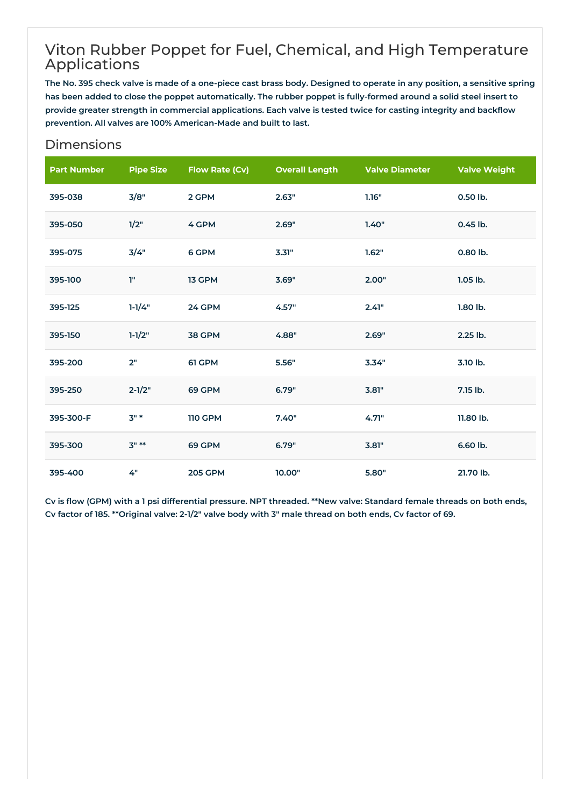### Viton Rubber Poppet for Fuel, Chemical, and High Temperature Applications

The No. 395 check valve is made of a one-piece cast brass body. Designed to operate in any position, a sensitive spring has been added to close the poppet automatically. The rubber poppet is fully-formed around a solid steel insert to provide greater strength in commercial applications. Each valve is tested twice for casting integrity and backflow **prevention. All valves are 100% American-Made and built to last.**

#### Dimensions

| <b>Part Number</b> | <b>Pipe Size</b> | <b>Flow Rate (Cv)</b> | <b>Overall Length</b> | <b>Valve Diameter</b> | <b>Valve Weight</b> |
|--------------------|------------------|-----------------------|-----------------------|-----------------------|---------------------|
| 395-038            | 3/8"             | 2 GPM                 | 2.63"                 | 1.16"                 | 0.50 lb.            |
| 395-050            | 1/2"             | 4 GPM                 | 2.69"                 | 1.40"                 | 0.45 lb.            |
| 395-075            | 3/4"             | 6 GPM                 | 3.31"                 | 1.62"                 | 0.80 lb.            |
| 395-100            | Ţ"               | 13 GPM                | 3.69"                 | 2.00"                 | $1.05$ lb.          |
| 395-125            | $1 - 1/4"$       | 24 GPM                | 4.57"                 | 2.41"                 | 1.80 lb.            |
| 395-150            | $1 - 1/2"$       | 38 GPM                | 4.88"                 | 2.69"                 | 2.25 lb.            |
| 395-200            | 2"               | 61 GPM                | 5.56"                 | 3.34"                 | 3.10 lb.            |
| 395-250            | $2 - 1/2"$       | 69 GPM                | 6.79"                 | 3.81"                 | 7.15 lb.            |
| 395-300-F          | $3"$ *           | <b>110 GPM</b>        | 7.40"                 | 4.71"                 | 11.80 lb.           |
| 395-300            | $3" **$          | 69 GPM                | 6.79"                 | 3.81"                 | 6.60 lb.            |
| 395-400            | 4"               | <b>205 GPM</b>        | 10.00"                | 5.80"                 | 21.70 lb.           |

Cv is flow (GPM) with a 1 psi differential pressure. NPT threaded. \*\*New valve: Standard female threads on both ends, Cv factor of 185. \*\* Original valve: 2-1/2" valve body with 3" male thread on both ends, Cv factor of 69.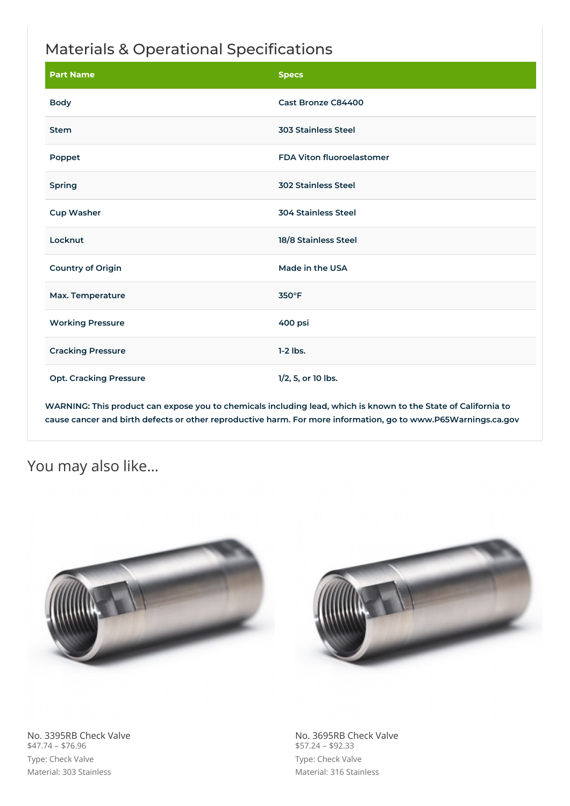## Materials & Operational Specifications

| <b>Part Name</b>              | <b>Specs</b>                     |
|-------------------------------|----------------------------------|
| <b>Body</b>                   | Cast Bronze C84400               |
| <b>Stem</b>                   | <b>303 Stainless Steel</b>       |
| Poppet                        | <b>FDA Viton fluoroelastomer</b> |
| <b>Spring</b>                 | <b>302 Stainless Steel</b>       |
| <b>Cup Washer</b>             | <b>304 Stainless Steel</b>       |
| Locknut                       | 18/8 Stainless Steel             |
| <b>Country of Origin</b>      | Made in the USA                  |
| Max. Temperature              | 350°F                            |
| <b>Working Pressure</b>       | 400 psi                          |
| <b>Cracking Pressure</b>      | $1-2$ lbs.                       |
| <b>Opt. Cracking Pressure</b> | 1/2, 5, or 10 lbs.               |

WARNING: This product can expose you to chemicals including lead, which is known to the State of California to **cause cancer and birth defects or other reproductive harm. For more information, go to www.P65Warnings.ca.gov**

### You may also like…





No. 3395RB Check Valve  $$47.74 - $76.96$ Type: Check Valve Material: 303 Stainless

No. 3695RB Check Valve  $$57.24 - $92.33$ Type: Check Valve Material: 316 Stainless